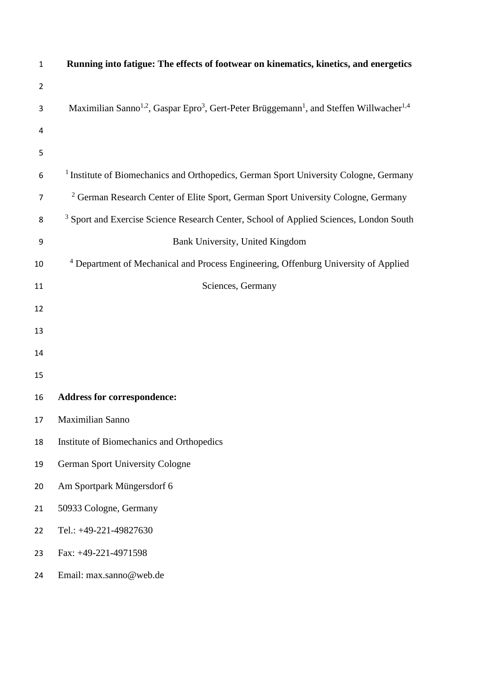| $\mathbf 1$    | Running into fatigue: The effects of footwear on kinematics, kinetics, and energetics                                                   |
|----------------|-----------------------------------------------------------------------------------------------------------------------------------------|
| $\overline{2}$ |                                                                                                                                         |
| 3              | Maximilian Sanno <sup>1,2</sup> , Gaspar Epro <sup>3</sup> , Gert-Peter Brüggemann <sup>1</sup> , and Steffen Willwacher <sup>1,4</sup> |
| 4              |                                                                                                                                         |
| 5              |                                                                                                                                         |
| 6              | <sup>1</sup> Institute of Biomechanics and Orthopedics, German Sport University Cologne, Germany                                        |
| 7              | <sup>2</sup> German Research Center of Elite Sport, German Sport University Cologne, Germany                                            |
| 8              | <sup>3</sup> Sport and Exercise Science Research Center, School of Applied Sciences, London South                                       |
| 9              | Bank University, United Kingdom                                                                                                         |
| 10             | <sup>4</sup> Department of Mechanical and Process Engineering, Offenburg University of Applied                                          |
| 11             | Sciences, Germany                                                                                                                       |
| 12             |                                                                                                                                         |
| 13             |                                                                                                                                         |
| 14             |                                                                                                                                         |
| 15             |                                                                                                                                         |
| 16             | <b>Address for correspondence:</b>                                                                                                      |
| 17             | Maximilian Sanno                                                                                                                        |
| 18             | Institute of Biomechanics and Orthopedics                                                                                               |
| 19             | <b>German Sport University Cologne</b>                                                                                                  |
| 20             | Am Sportpark Müngersdorf 6                                                                                                              |
| 21             | 50933 Cologne, Germany                                                                                                                  |
| 22             | Tel.: +49-221-49827630                                                                                                                  |
| 23             | Fax: +49-221-4971598                                                                                                                    |
| 24             | Email: max.sanno@web.de                                                                                                                 |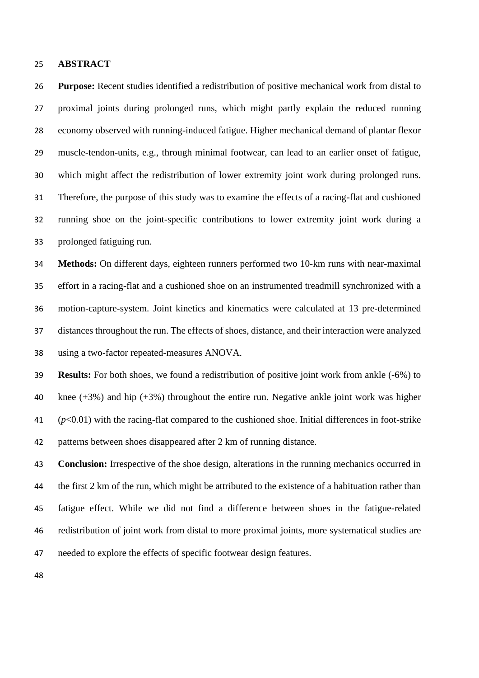## **ABSTRACT**

 **Purpose:** Recent studies identified a redistribution of positive mechanical work from distal to proximal joints during prolonged runs, which might partly explain the reduced running economy observed with running-induced fatigue. Higher mechanical demand of plantar flexor muscle-tendon-units, e.g., through minimal footwear, can lead to an earlier onset of fatigue, which might affect the redistribution of lower extremity joint work during prolonged runs. Therefore, the purpose of this study was to examine the effects of a racing-flat and cushioned running shoe on the joint-specific contributions to lower extremity joint work during a prolonged fatiguing run.

 **Methods:** On different days, eighteen runners performed two 10-km runs with near-maximal effort in a racing-flat and a cushioned shoe on an instrumented treadmill synchronized with a motion-capture-system. Joint kinetics and kinematics were calculated at 13 pre-determined distances throughout the run. The effects of shoes, distance, and their interaction were analyzed using a two-factor repeated-measures ANOVA.

 **Results:** For both shoes, we found a redistribution of positive joint work from ankle (-6%) to knee (+3%) and hip (+3%) throughout the entire run. Negative ankle joint work was higher (*p*<0.01) with the racing-flat compared to the cushioned shoe. Initial differences in foot-strike patterns between shoes disappeared after 2 km of running distance.

 **Conclusion:** Irrespective of the shoe design, alterations in the running mechanics occurred in the first 2 km of the run, which might be attributed to the existence of a habituation rather than fatigue effect. While we did not find a difference between shoes in the fatigue-related redistribution of joint work from distal to more proximal joints, more systematical studies are needed to explore the effects of specific footwear design features.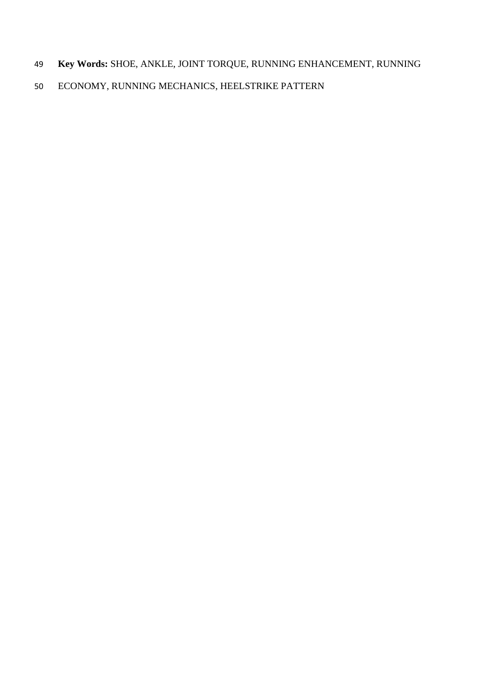- **Key Words:** SHOE, ANKLE, JOINT TORQUE, RUNNING ENHANCEMENT, RUNNING
- ECONOMY, RUNNING MECHANICS, HEELSTRIKE PATTERN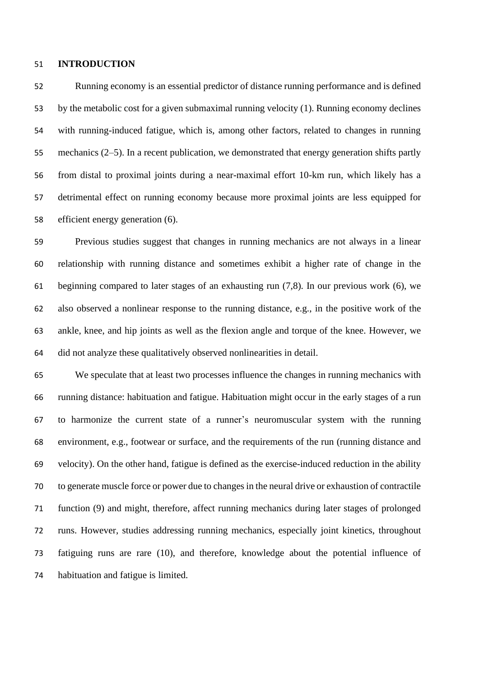## **INTRODUCTION**

 Running economy is an essential predictor of distance running performance and is defined by the metabolic cost for a given submaximal running velocity (1). Running economy declines with running-induced fatigue, which is, among other factors, related to changes in running mechanics (2–5). In a recent publication, we demonstrated that energy generation shifts partly from distal to proximal joints during a near-maximal effort 10-km run, which likely has a detrimental effect on running economy because more proximal joints are less equipped for efficient energy generation (6).

 Previous studies suggest that changes in running mechanics are not always in a linear relationship with running distance and sometimes exhibit a higher rate of change in the beginning compared to later stages of an exhausting run (7,8). In our previous work (6), we also observed a nonlinear response to the running distance, e.g., in the positive work of the ankle, knee, and hip joints as well as the flexion angle and torque of the knee. However, we did not analyze these qualitatively observed nonlinearities in detail.

 We speculate that at least two processes influence the changes in running mechanics with running distance: habituation and fatigue. Habituation might occur in the early stages of a run to harmonize the current state of a runner's neuromuscular system with the running environment, e.g., footwear or surface, and the requirements of the run (running distance and velocity). On the other hand, fatigue is defined as the exercise-induced reduction in the ability to generate muscle force or power due to changes in the neural drive or exhaustion of contractile function (9) and might, therefore, affect running mechanics during later stages of prolonged runs. However, studies addressing running mechanics, especially joint kinetics, throughout fatiguing runs are rare (10), and therefore, knowledge about the potential influence of habituation and fatigue is limited.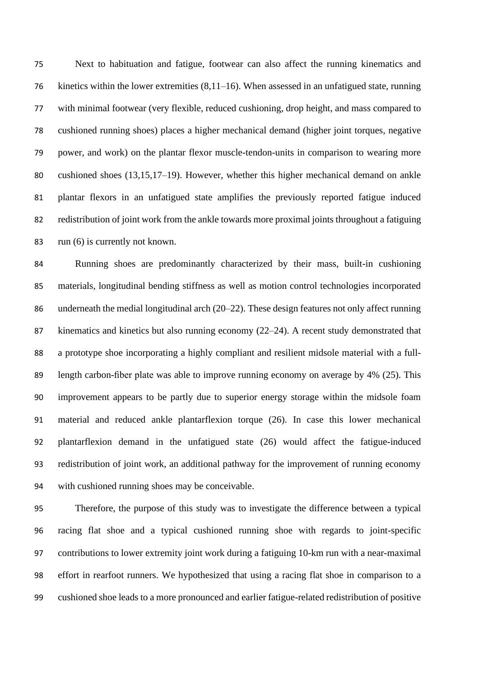Next to habituation and fatigue, footwear can also affect the running kinematics and kinetics within the lower extremities (8,11–16). When assessed in an unfatigued state, running with minimal footwear (very flexible, reduced cushioning, drop height, and mass compared to cushioned running shoes) places a higher mechanical demand (higher joint torques, negative power, and work) on the plantar flexor muscle-tendon-units in comparison to wearing more cushioned shoes (13,15,17–19). However, whether this higher mechanical demand on ankle plantar flexors in an unfatigued state amplifies the previously reported fatigue induced redistribution of joint work from the ankle towards more proximal joints throughout a fatiguing run (6) is currently not known.

 Running shoes are predominantly characterized by their mass, built-in cushioning materials, longitudinal bending stiffness as well as motion control technologies incorporated 86 underneath the medial longitudinal arch (20–22). These design features not only affect running kinematics and kinetics but also running economy (22–24). A recent study demonstrated that a prototype shoe incorporating a highly compliant and resilient midsole material with a full- length carbon-fiber plate was able to improve running economy on average by 4% (25). This improvement appears to be partly due to superior energy storage within the midsole foam material and reduced ankle plantarflexion torque (26). In case this lower mechanical plantarflexion demand in the unfatigued state (26) would affect the fatigue-induced redistribution of joint work, an additional pathway for the improvement of running economy with cushioned running shoes may be conceivable.

 Therefore, the purpose of this study was to investigate the difference between a typical racing flat shoe and a typical cushioned running shoe with regards to joint-specific contributions to lower extremity joint work during a fatiguing 10-km run with a near-maximal effort in rearfoot runners. We hypothesized that using a racing flat shoe in comparison to a cushioned shoe leads to a more pronounced and earlier fatigue-related redistribution of positive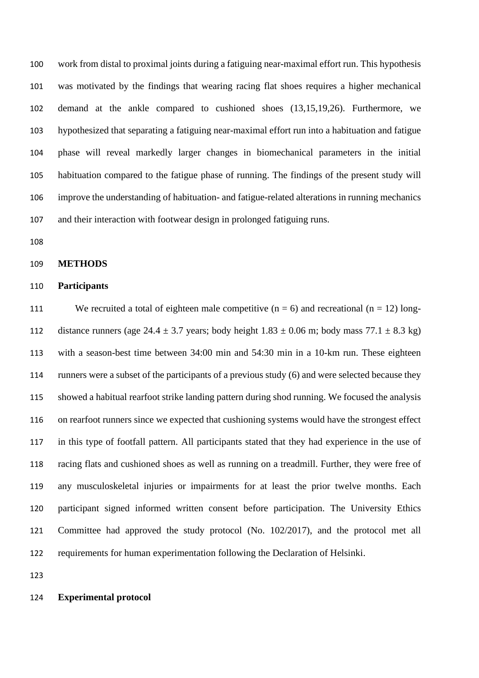work from distal to proximal joints during a fatiguing near-maximal effort run. This hypothesis was motivated by the findings that wearing racing flat shoes requires a higher mechanical demand at the ankle compared to cushioned shoes (13,15,19,26). Furthermore, we hypothesized that separating a fatiguing near-maximal effort run into a habituation and fatigue phase will reveal markedly larger changes in biomechanical parameters in the initial habituation compared to the fatigue phase of running. The findings of the present study will improve the understanding of habituation- and fatigue-related alterations in running mechanics and their interaction with footwear design in prolonged fatiguing runs.

#### **METHODS**

# **Participants**

111 We recruited a total of eighteen male competitive  $(n = 6)$  and recreational  $(n = 12)$  long-112 distance runners (age 24.4  $\pm$  3.7 years; body height 1.83  $\pm$  0.06 m; body mass 77.1  $\pm$  8.3 kg) with a season-best time between 34:00 min and 54:30 min in a 10-km run. These eighteen runners were a subset of the participants of a previous study (6) and were selected because they showed a habitual rearfoot strike landing pattern during shod running. We focused the analysis on rearfoot runners since we expected that cushioning systems would have the strongest effect in this type of footfall pattern. All participants stated that they had experience in the use of racing flats and cushioned shoes as well as running on a treadmill. Further, they were free of any musculoskeletal injuries or impairments for at least the prior twelve months. Each participant signed informed written consent before participation. The University Ethics Committee had approved the study protocol (No. 102/2017), and the protocol met all requirements for human experimentation following the Declaration of Helsinki.

# **Experimental protocol**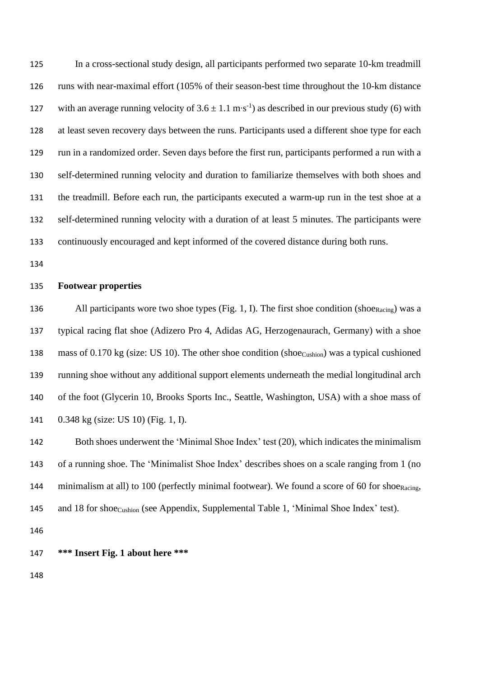In a cross-sectional study design, all participants performed two separate 10-km treadmill runs with near-maximal effort (105% of their season-best time throughout the 10-km distance 127 with an average running velocity of  $3.6 \pm 1.1 \text{ m} \cdot \text{s}^{-1}$ ) as described in our previous study (6) with at least seven recovery days between the runs. Participants used a different shoe type for each run in a randomized order. Seven days before the first run, participants performed a run with a self-determined running velocity and duration to familiarize themselves with both shoes and the treadmill. Before each run, the participants executed a warm-up run in the test shoe at a self-determined running velocity with a duration of at least 5 minutes. The participants were continuously encouraged and kept informed of the covered distance during both runs.

# **Footwear properties**

136 All participants wore two shoe types (Fig. 1, I). The first shoe condition (shoe<sub>Racing</sub>) was a typical racing flat shoe (Adizero Pro 4, Adidas AG, Herzogenaurach, Germany) with a shoe 138 mass of 0.170 kg (size: US 10). The other shoe condition (shoe $_{\text{Custion}}$ ) was a typical cushioned running shoe without any additional support elements underneath the medial longitudinal arch of the foot (Glycerin 10, Brooks Sports Inc., Seattle, Washington, USA) with a shoe mass of 0.348 kg (size: US 10) (Fig. 1, I).

 Both shoes underwent the 'Minimal Shoe Index' test (20), which indicates the minimalism of a running shoe. The 'Minimalist Shoe Index' describes shoes on a scale ranging from 1 (no 144 minimalism at all) to 100 (perfectly minimal footwear). We found a score of 60 for shoe<sub>Racing</sub>, 145 and 18 for shoe<sub>Cushion</sub> (see Appendix, Supplemental Table 1, 'Minimal Shoe Index' test).

**\*\*\* Insert Fig. 1 about here \*\*\***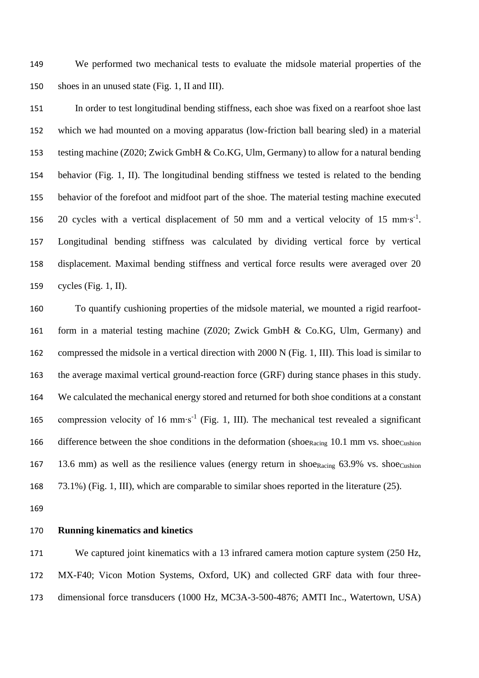We performed two mechanical tests to evaluate the midsole material properties of the shoes in an unused state (Fig. 1, II and III).

 In order to test longitudinal bending stiffness, each shoe was fixed on a rearfoot shoe last which we had mounted on a moving apparatus (low-friction ball bearing sled) in a material testing machine (Z020; Zwick GmbH & Co.KG, Ulm, Germany) to allow for a natural bending behavior (Fig. 1, II). The longitudinal bending stiffness we tested is related to the bending behavior of the forefoot and midfoot part of the shoe. The material testing machine executed 156 20 cycles with a vertical displacement of 50 mm and a vertical velocity of 15 mm⋅s<sup>-1</sup>. Longitudinal bending stiffness was calculated by dividing vertical force by vertical displacement. Maximal bending stiffness and vertical force results were averaged over 20 cycles (Fig. 1, II).

 To quantify cushioning properties of the midsole material, we mounted a rigid rearfoot- form in a material testing machine (Z020; Zwick GmbH & Co.KG, Ulm, Germany) and compressed the midsole in a vertical direction with 2000 N (Fig. 1, III). This load is similar to the average maximal vertical ground-reaction force (GRF) during stance phases in this study. We calculated the mechanical energy stored and returned for both shoe conditions at a constant 165 compression velocity of 16 mm⋅s<sup>-1</sup> (Fig. 1, III). The mechanical test revealed a significant 166 difference between the shoe conditions in the deformation (shoeRacing 10.1 mm vs. shoeCushion 167 13.6 mm) as well as the resilience values (energy return in shoe<sub>Racing</sub> 63.9% vs. shoe<sub>Cushion</sub> 73.1%) (Fig. 1, III), which are comparable to similar shoes reported in the literature (25).

## **Running kinematics and kinetics**

171 We captured joint kinematics with a 13 infrared camera motion capture system (250 Hz, MX-F40; Vicon Motion Systems, Oxford, UK) and collected GRF data with four three-dimensional force transducers (1000 Hz, MC3A-3-500-4876; AMTI Inc., Watertown, USA)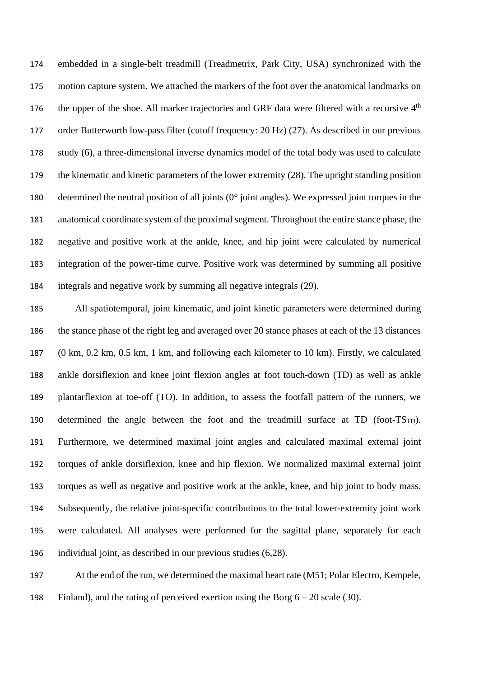embedded in a single-belt treadmill (Treadmetrix, Park City, USA) synchronized with the motion capture system. We attached the markers of the foot over the anatomical landmarks on 176 the upper of the shoe. All marker trajectories and GRF data were filtered with a recursive  $4<sup>th</sup>$  order Butterworth low-pass filter (cutoff frequency: 20 Hz) (27). As described in our previous study (6), a three-dimensional inverse dynamics model of the total body was used to calculate the kinematic and kinetic parameters of the lower extremity (28). The upright standing position determined the neutral position of all joints (0° joint angles). We expressed joint torques in the anatomical coordinate system of the proximal segment. Throughout the entire stance phase, the negative and positive work at the ankle, knee, and hip joint were calculated by numerical integration of the power-time curve. Positive work was determined by summing all positive integrals and negative work by summing all negative integrals (29).

 All spatiotemporal, joint kinematic, and joint kinetic parameters were determined during the stance phase of the right leg and averaged over 20 stance phases at each of the 13 distances (0 km, 0.2 km, 0.5 km, 1 km, and following each kilometer to 10 km). Firstly, we calculated ankle dorsiflexion and knee joint flexion angles at foot touch-down (TD) as well as ankle plantarflexion at toe-off (TO). In addition, to assess the footfall pattern of the runners, we 190 determined the angle between the foot and the treadmill surface at  $TD$  (foot- $TS_{TD}$ ). Furthermore, we determined maximal joint angles and calculated maximal external joint torques of ankle dorsiflexion, knee and hip flexion. We normalized maximal external joint torques as well as negative and positive work at the ankle, knee, and hip joint to body mass. Subsequently, the relative joint-specific contributions to the total lower-extremity joint work were calculated. All analyses were performed for the sagittal plane, separately for each individual joint, as described in our previous studies (6,28).

 At the end of the run, we determined the maximal heart rate (M51; Polar Electro, Kempele, Finland), and the rating of perceived exertion using the Borg 6 – 20 scale (30).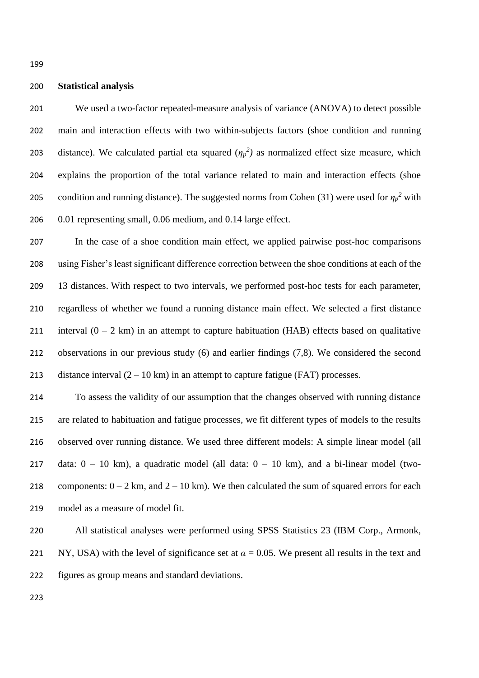# **Statistical analysis**

 We used a two-factor repeated-measure analysis of variance (ANOVA) to detect possible main and interaction effects with two within-subjects factors (shoe condition and running 203 distance). We calculated partial eta squared  $(\eta_p^2)$  as normalized effect size measure, which explains the proportion of the total variance related to main and interaction effects (shoe condition and running distance). The suggested norms from Cohen (31) were used for  $\eta_p^2$  with 0.01 representing small, 0.06 medium, and 0.14 large effect.

 In the case of a shoe condition main effect, we applied pairwise post-hoc comparisons using Fisher's least significant difference correction between the shoe conditions at each of the 13 distances. With respect to two intervals, we performed post-hoc tests for each parameter, regardless of whether we found a running distance main effect. We selected a first distance 211 interval  $(0 - 2 \text{ km})$  in an attempt to capture habituation (HAB) effects based on qualitative observations in our previous study (6) and earlier findings (7,8). We considered the second 213 distance interval  $(2 – 10 \text{ km})$  in an attempt to capture fatigue (FAT) processes.

 To assess the validity of our assumption that the changes observed with running distance are related to habituation and fatigue processes, we fit different types of models to the results observed over running distance. We used three different models: A simple linear model (all 217 data:  $0 - 10$  km), a quadratic model (all data:  $0 - 10$  km), and a bi-linear model (two-218 components:  $0 - 2$  km, and  $2 - 10$  km). We then calculated the sum of squared errors for each model as a measure of model fit.

 All statistical analyses were performed using SPSS Statistics 23 (IBM Corp., Armonk, 221 NY, USA) with the level of significance set at  $\alpha = 0.05$ . We present all results in the text and figures as group means and standard deviations.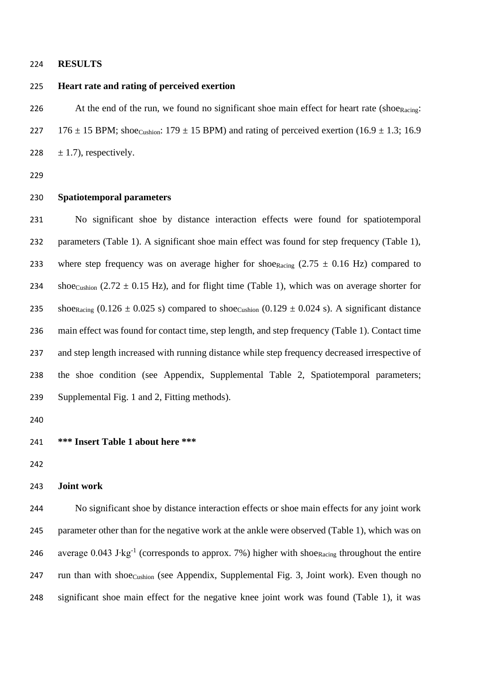## **RESULTS**

# **Heart rate and rating of perceived exertion**

226 At the end of the run, we found no significant shoe main effect for heart rate (shoe $_{\text{Racing}}$ : 227 176  $\pm$  15 BPM; shoecushion: 179  $\pm$  15 BPM) and rating of perceived exertion (16.9  $\pm$  1.3; 16.9 228  $\pm$  1.7), respectively.

# **Spatiotemporal parameters**

 No significant shoe by distance interaction effects were found for spatiotemporal parameters (Table 1). A significant shoe main effect was found for step frequency (Table 1), 233 where step frequency was on average higher for shoe<sub>Racing</sub>  $(2.75 \pm 0.16 \text{ Hz})$  compared to 234 shoe<sub>Cushion</sub> (2.72  $\pm$  0.15 Hz), and for flight time (Table 1), which was on average shorter for 235 shoe<sub>Racing</sub>  $(0.126 \pm 0.025 \text{ s})$  compared to shoe<sub>Cushion</sub>  $(0.129 \pm 0.024 \text{ s})$ . A significant distance main effect was found for contact time, step length, and step frequency (Table 1). Contact time and step length increased with running distance while step frequency decreased irrespective of the shoe condition (see Appendix, Supplemental Table 2, Spatiotemporal parameters; Supplemental Fig. 1 and 2, Fitting methods).

**\*\*\* Insert Table 1 about here \*\*\***

## **Joint work**

 No significant shoe by distance interaction effects or shoe main effects for any joint work parameter other than for the negative work at the ankle were observed (Table 1), which was on 246 average 0.043 J⋅kg<sup>-1</sup> (corresponds to approx. 7%) higher with shoe<sub>Racing</sub> throughout the entire 247 run than with shoe<sub>Cushion</sub> (see Appendix, Supplemental Fig. 3, Joint work). Even though no significant shoe main effect for the negative knee joint work was found (Table 1), it was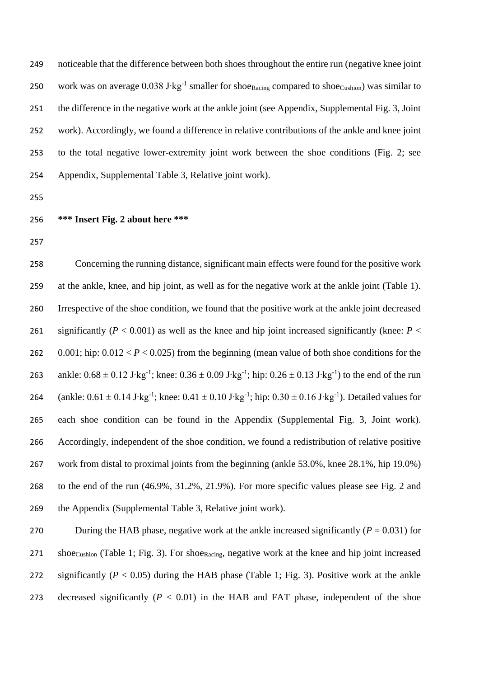noticeable that the difference between both shoes throughout the entire run (negative knee joint 250 work was on average 0.038 J⋅kg<sup>-1</sup> smaller for shoe<sub>Racing</sub> compared to shoe<sub>Cushion</sub>) was similar to the difference in the negative work at the ankle joint (see Appendix, Supplemental Fig. 3, Joint work). Accordingly, we found a difference in relative contributions of the ankle and knee joint to the total negative lower-extremity joint work between the shoe conditions (Fig. 2; see Appendix, Supplemental Table 3, Relative joint work).

- 
- **\*\*\* Insert Fig. 2 about here \*\*\***
- 

 Concerning the running distance, significant main effects were found for the positive work at the ankle, knee, and hip joint, as well as for the negative work at the ankle joint (Table 1). Irrespective of the shoe condition, we found that the positive work at the ankle joint decreased 261 significantly ( $P < 0.001$ ) as well as the knee and hip joint increased significantly (knee:  $P <$ 262 0.001; hip:  $0.012 < P < 0.025$ ) from the beginning (mean value of both shoe conditions for the 263 ankle:  $0.68 \pm 0.12$  J⋅kg<sup>-1</sup>; knee:  $0.36 \pm 0.09$  J⋅kg<sup>-1</sup>; hip:  $0.26 \pm 0.13$  J⋅kg<sup>-1</sup>) to the end of the run 264 (ankle:  $0.61 \pm 0.14$  J⋅kg<sup>-1</sup>; knee:  $0.41 \pm 0.10$  J⋅kg<sup>-1</sup>; hip:  $0.30 \pm 0.16$  J⋅kg<sup>-1</sup>). Detailed values for each shoe condition can be found in the Appendix (Supplemental Fig. 3, Joint work). Accordingly, independent of the shoe condition, we found a redistribution of relative positive work from distal to proximal joints from the beginning (ankle 53.0%, knee 28.1%, hip 19.0%) to the end of the run (46.9%, 31.2%, 21.9%). For more specific values please see Fig. 2 and the Appendix (Supplemental Table 3, Relative joint work).

270 During the HAB phase, negative work at the ankle increased significantly  $(P = 0.031)$  for 271 shoe<sub>Cushion</sub> (Table 1; Fig. 3). For shoe<sub>Racing</sub>, negative work at the knee and hip joint increased 272 significantly  $(P < 0.05)$  during the HAB phase (Table 1; Fig. 3). Positive work at the ankle 273 decreased significantly  $(P < 0.01)$  in the HAB and FAT phase, independent of the shoe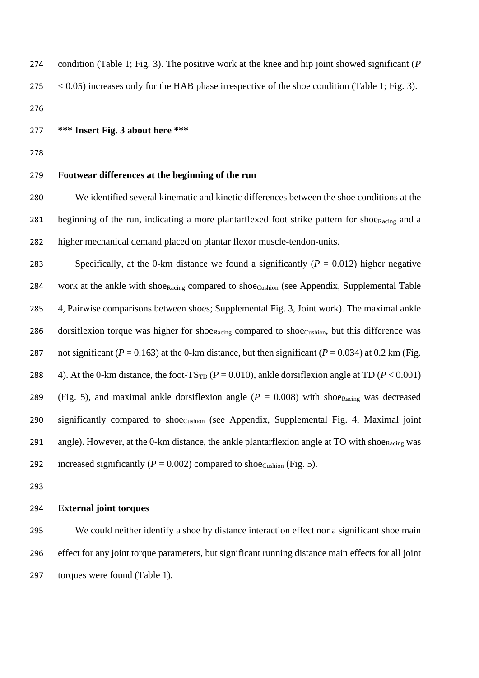| 274     | condition (Table 1; Fig. 3). The positive work at the knee and hip joint showed significant ( $P$             |
|---------|---------------------------------------------------------------------------------------------------------------|
| 275     | $\langle 0.05 \rangle$ increases only for the HAB phase irrespective of the shoe condition (Table 1; Fig. 3). |
| $\lnot$ |                                                                                                               |

276

277 **\*\*\* Insert Fig. 3 about here \*\*\***

278

# 279 **Footwear differences at the beginning of the run**

280 We identified several kinematic and kinetic differences between the shoe conditions at the 281 beginning of the run, indicating a more plantarflexed foot strike pattern for shoe $_{\text{Racing}}$  and a 282 higher mechanical demand placed on plantar flexor muscle-tendon-units.

283 Specifically, at the 0-km distance we found a significantly  $(P = 0.012)$  higher negative 284 work at the ankle with shoe $_{\text{Racing}}$  compared to shoe $_{\text{Custion}}$  (see Appendix, Supplemental Table 285 4, Pairwise comparisons between shoes; Supplemental Fig. 3, Joint work). The maximal ankle 286 dorsiflexion torque was higher for shoe<sub>Racing</sub> compared to shoe<sub>Cushion</sub>, but this difference was 287 not significant ( $P = 0.163$ ) at the 0-km distance, but then significant ( $P = 0.034$ ) at 0.2 km (Fig. 288 4). At the 0-km distance, the foot-TS<sub>TD</sub> ( $P = 0.010$ ), ankle dorsiflexion angle at TD ( $P < 0.001$ ) 289 (Fig. 5), and maximal ankle dorsiflexion angle  $(P = 0.008)$  with shoe<sub>Racing</sub> was decreased 290 significantly compared to shoe<sub>Cushion</sub> (see Appendix, Supplemental Fig. 4, Maximal joint 291 angle). However, at the 0-km distance, the ankle plantarflexion angle at TO with shoe<sub>Racing</sub> was 292 increased significantly  $(P = 0.002)$  compared to shoe<sub>Cushion</sub> (Fig. 5).

293

# 294 **External joint torques**

295 We could neither identify a shoe by distance interaction effect nor a significant shoe main 296 effect for any joint torque parameters, but significant running distance main effects for all joint 297 torques were found (Table 1).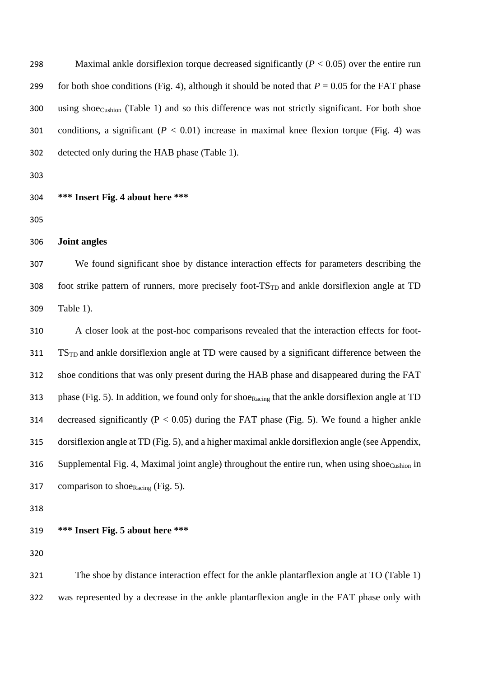Maximal ankle dorsiflexion torque decreased significantly (*P* < 0.05) over the entire run 299 for both shoe conditions (Fig. 4), although it should be noted that  $P = 0.05$  for the FAT phase using shoe<sub>Cushion</sub> (Table 1) and so this difference was not strictly significant. For both shoe 301 conditions, a significant  $(P < 0.01)$  increase in maximal knee flexion torque (Fig. 4) was detected only during the HAB phase (Table 1).

**\*\*\* Insert Fig. 4 about here \*\*\***

**Joint angles**

 We found significant shoe by distance interaction effects for parameters describing the 308 foot strike pattern of runners, more precisely foot-TS<sub>TD</sub> and ankle dorsiflexion angle at TD Table 1).

 A closer look at the post-hoc comparisons revealed that the interaction effects for foot- TSTD and ankle dorsiflexion angle at TD were caused by a significant difference between the shoe conditions that was only present during the HAB phase and disappeared during the FAT 313 phase (Fig. 5). In addition, we found only for shoe<sub>Racing</sub> that the ankle dorsiflexion angle at TD 314 decreased significantly ( $P < 0.05$ ) during the FAT phase (Fig. 5). We found a higher ankle dorsiflexion angle at TD (Fig. 5), and a higher maximal ankle dorsiflexion angle (see Appendix, 316 Supplemental Fig. 4, Maximal joint angle) throughout the entire run, when using shoe $_{\text{Custion}}$  in 317 comparison to shoe $_{\text{Racing}}$  (Fig. 5).

# **\*\*\* Insert Fig. 5 about here \*\*\***

 The shoe by distance interaction effect for the ankle plantarflexion angle at TO (Table 1) was represented by a decrease in the ankle plantarflexion angle in the FAT phase only with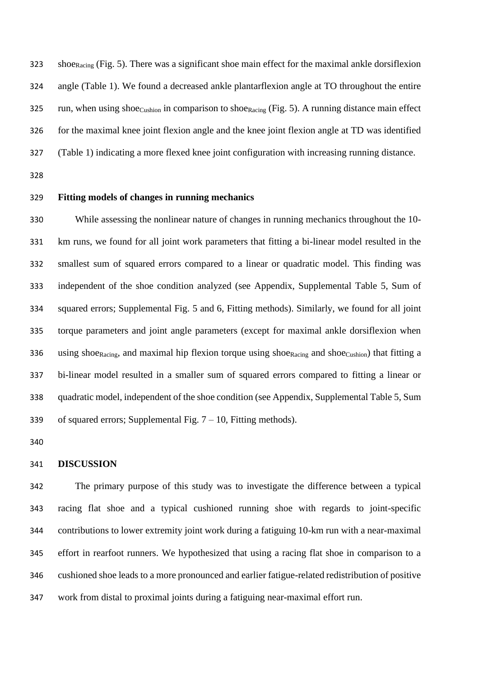shoeRacing (Fig. 5). There was a significant shoe main effect for the maximal ankle dorsiflexion angle (Table 1). We found a decreased ankle plantarflexion angle at TO throughout the entire 325 run, when using shoe $_{\text{Custion}}$  in comparison to shoe $_{\text{Racing}}$  (Fig. 5). A running distance main effect for the maximal knee joint flexion angle and the knee joint flexion angle at TD was identified (Table 1) indicating a more flexed knee joint configuration with increasing running distance.

## **Fitting models of changes in running mechanics**

 While assessing the nonlinear nature of changes in running mechanics throughout the 10- km runs, we found for all joint work parameters that fitting a bi-linear model resulted in the smallest sum of squared errors compared to a linear or quadratic model. This finding was independent of the shoe condition analyzed (see Appendix, Supplemental Table 5, Sum of squared errors; Supplemental Fig. 5 and 6, Fitting methods). Similarly, we found for all joint torque parameters and joint angle parameters (except for maximal ankle dorsiflexion when 336 using shoe<sub>Racing</sub>, and maximal hip flexion torque using shoe<sub>Racing</sub> and shoe<sub>Cushion</sub>) that fitting a bi-linear model resulted in a smaller sum of squared errors compared to fitting a linear or quadratic model, independent of the shoe condition (see Appendix, Supplemental Table 5, Sum 339 of squared errors; Supplemental Fig.  $7 - 10$ , Fitting methods).

# **DISCUSSION**

 The primary purpose of this study was to investigate the difference between a typical racing flat shoe and a typical cushioned running shoe with regards to joint-specific contributions to lower extremity joint work during a fatiguing 10-km run with a near-maximal effort in rearfoot runners. We hypothesized that using a racing flat shoe in comparison to a cushioned shoe leads to a more pronounced and earlier fatigue-related redistribution of positive work from distal to proximal joints during a fatiguing near-maximal effort run.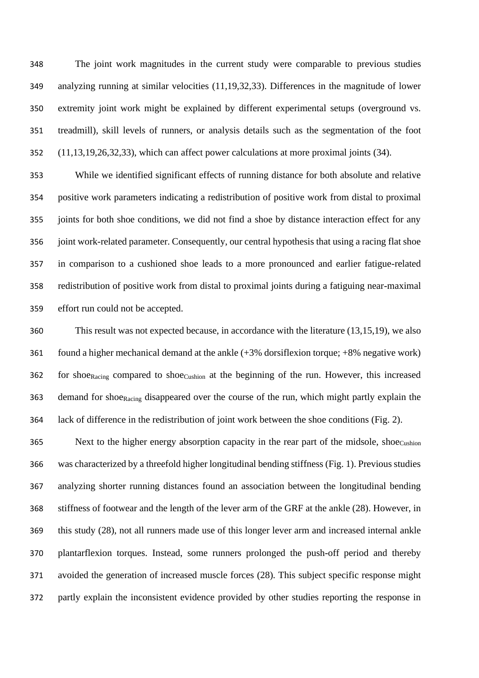The joint work magnitudes in the current study were comparable to previous studies analyzing running at similar velocities (11,19,32,33). Differences in the magnitude of lower extremity joint work might be explained by different experimental setups (overground vs. treadmill), skill levels of runners, or analysis details such as the segmentation of the foot (11,13,19,26,32,33), which can affect power calculations at more proximal joints (34).

 While we identified significant effects of running distance for both absolute and relative positive work parameters indicating a redistribution of positive work from distal to proximal joints for both shoe conditions, we did not find a shoe by distance interaction effect for any joint work-related parameter. Consequently, our central hypothesis that using a racing flat shoe in comparison to a cushioned shoe leads to a more pronounced and earlier fatigue-related redistribution of positive work from distal to proximal joints during a fatiguing near-maximal effort run could not be accepted.

 This result was not expected because, in accordance with the literature (13,15,19), we also 361 found a higher mechanical demand at the ankle  $(+3%$  dorsiflexion torque;  $+8%$  negative work) for shoeRacing compared to shoeCushion at the beginning of the run. However, this increased 363 demand for shoe<sub>Racing</sub> disappeared over the course of the run, which might partly explain the lack of difference in the redistribution of joint work between the shoe conditions (Fig. 2).

365 Next to the higher energy absorption capacity in the rear part of the midsole, shoecushion was characterized by a threefold higher longitudinal bending stiffness (Fig. 1). Previous studies analyzing shorter running distances found an association between the longitudinal bending stiffness of footwear and the length of the lever arm of the GRF at the ankle (28). However, in this study (28), not all runners made use of this longer lever arm and increased internal ankle plantarflexion torques. Instead, some runners prolonged the push-off period and thereby avoided the generation of increased muscle forces (28). This subject specific response might partly explain the inconsistent evidence provided by other studies reporting the response in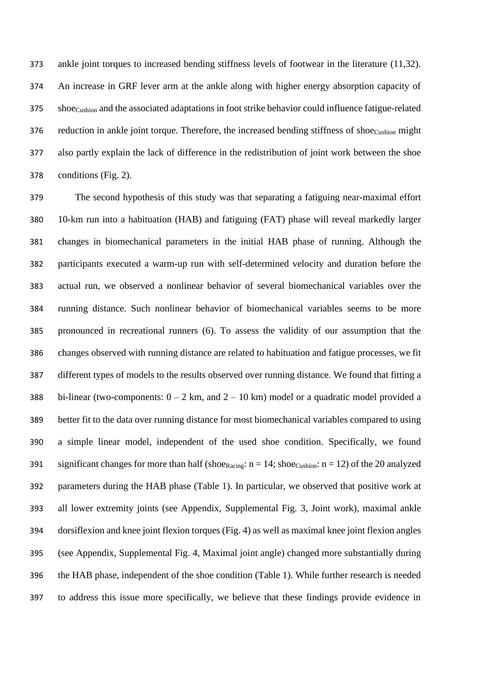ankle joint torques to increased bending stiffness levels of footwear in the literature (11,32). An increase in GRF lever arm at the ankle along with higher energy absorption capacity of shoeCushion and the associated adaptations in foot strike behavior could influence fatigue-related 376 reduction in ankle joint torque. Therefore, the increased bending stiffness of shoecushion might also partly explain the lack of difference in the redistribution of joint work between the shoe conditions (Fig. 2).

 The second hypothesis of this study was that separating a fatiguing near-maximal effort 10-km run into a habituation (HAB) and fatiguing (FAT) phase will reveal markedly larger changes in biomechanical parameters in the initial HAB phase of running. Although the participants executed a warm-up run with self-determined velocity and duration before the actual run, we observed a nonlinear behavior of several biomechanical variables over the running distance. Such nonlinear behavior of biomechanical variables seems to be more pronounced in recreational runners (6). To assess the validity of our assumption that the changes observed with running distance are related to habituation and fatigue processes, we fit different types of models to the results observed over running distance. We found that fitting a 388 bi-linear (two-components:  $0 - 2$  km, and  $2 - 10$  km) model or a quadratic model provided a better fit to the data over running distance for most biomechanical variables compared to using a simple linear model, independent of the used shoe condition. Specifically, we found 391 significant changes for more than half (shoe<sub>Racing</sub>:  $n = 14$ ; shoe<sub>Cushion</sub>:  $n = 12$ ) of the 20 analyzed parameters during the HAB phase (Table 1). In particular, we observed that positive work at all lower extremity joints (see Appendix, Supplemental Fig. 3, Joint work), maximal ankle dorsiflexion and knee joint flexion torques (Fig. 4) as well as maximal knee joint flexion angles (see Appendix, Supplemental Fig. 4, Maximal joint angle) changed more substantially during the HAB phase, independent of the shoe condition (Table 1). While further research is needed to address this issue more specifically, we believe that these findings provide evidence in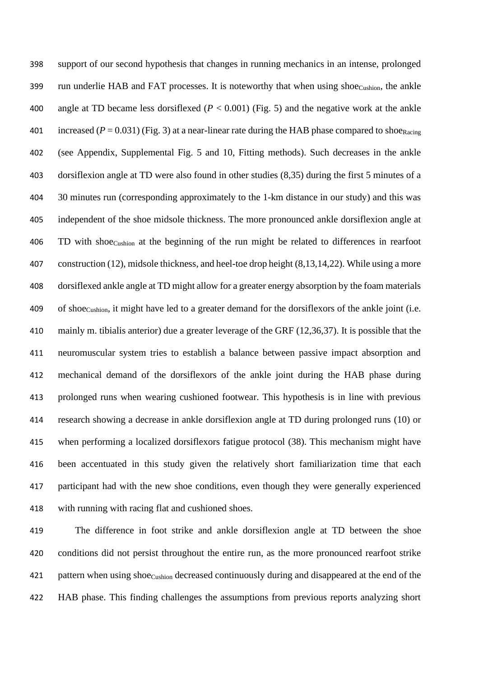support of our second hypothesis that changes in running mechanics in an intense, prolonged 399 run underlie HAB and FAT processes. It is noteworthy that when using shoecushion, the ankle angle at TD became less dorsiflexed (*P* < 0.001) (Fig. 5) and the negative work at the ankle 401 increased  $(P = 0.031)$  (Fig. 3) at a near-linear rate during the HAB phase compared to shoe<sub>Racing</sub> (see Appendix, Supplemental Fig. 5 and 10, Fitting methods). Such decreases in the ankle dorsiflexion angle at TD were also found in other studies (8,35) during the first 5 minutes of a 404 30 minutes run (corresponding approximately to the 1-km distance in our study) and this was independent of the shoe midsole thickness. The more pronounced ankle dorsiflexion angle at TD with shoeCushion at the beginning of the run might be related to differences in rearfoot construction (12), midsole thickness, and heel-toe drop height (8,13,14,22). While using a more dorsiflexed ankle angle at TD might allow for a greater energy absorption by the foam materials of shoeCushion, it might have led to a greater demand for the dorsiflexors of the ankle joint (i.e. mainly m. tibialis anterior) due a greater leverage of the GRF (12,36,37). It is possible that the neuromuscular system tries to establish a balance between passive impact absorption and mechanical demand of the dorsiflexors of the ankle joint during the HAB phase during prolonged runs when wearing cushioned footwear. This hypothesis is in line with previous research showing a decrease in ankle dorsiflexion angle at TD during prolonged runs (10) or when performing a localized dorsiflexors fatigue protocol (38). This mechanism might have been accentuated in this study given the relatively short familiarization time that each participant had with the new shoe conditions, even though they were generally experienced with running with racing flat and cushioned shoes.

 The difference in foot strike and ankle dorsiflexion angle at TD between the shoe conditions did not persist throughout the entire run, as the more pronounced rearfoot strike 421 pattern when using shoecushion decreased continuously during and disappeared at the end of the HAB phase. This finding challenges the assumptions from previous reports analyzing short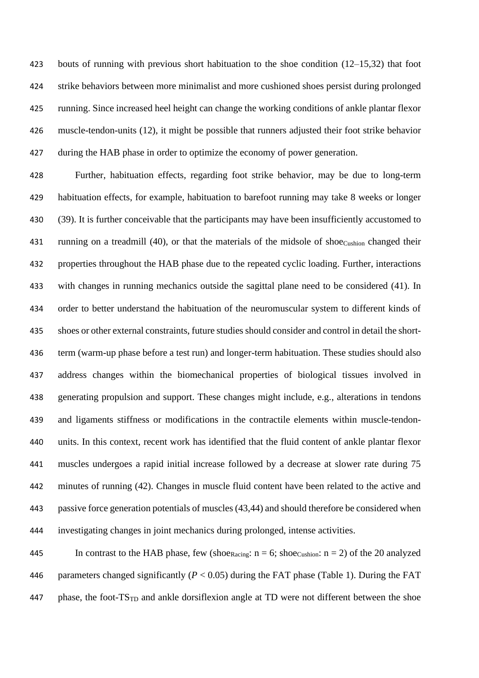bouts of running with previous short habituation to the shoe condition (12–15,32) that foot strike behaviors between more minimalist and more cushioned shoes persist during prolonged running. Since increased heel height can change the working conditions of ankle plantar flexor muscle-tendon-units (12), it might be possible that runners adjusted their foot strike behavior during the HAB phase in order to optimize the economy of power generation.

 Further, habituation effects, regarding foot strike behavior, may be due to long-term habituation effects, for example, habituation to barefoot running may take 8 weeks or longer (39). It is further conceivable that the participants may have been insufficiently accustomed to 431 running on a treadmill (40), or that the materials of the midsole of shoe $_{\text{Cushion}}$  changed their properties throughout the HAB phase due to the repeated cyclic loading. Further, interactions with changes in running mechanics outside the sagittal plane need to be considered (41). In order to better understand the habituation of the neuromuscular system to different kinds of shoes or other external constraints, future studies should consider and control in detail the short- term (warm-up phase before a test run) and longer-term habituation. These studies should also address changes within the biomechanical properties of biological tissues involved in generating propulsion and support. These changes might include, e.g., alterations in tendons and ligaments stiffness or modifications in the contractile elements within muscle-tendon- units. In this context, recent work has identified that the fluid content of ankle plantar flexor muscles undergoes a rapid initial increase followed by a decrease at slower rate during 75 minutes of running (42). Changes in muscle fluid content have been related to the active and passive force generation potentials of muscles (43,44) and should therefore be considered when investigating changes in joint mechanics during prolonged, intense activities.

445 In contrast to the HAB phase, few (shoe<sub>Racing</sub>:  $n = 6$ ; shoe<sub>Cushion</sub>:  $n = 2$ ) of the 20 analyzed 446 parameters changed significantly  $(P < 0.05)$  during the FAT phase (Table 1). During the FAT phase, the foot-TS<sub>TD</sub> and ankle dorsiflexion angle at TD were not different between the shoe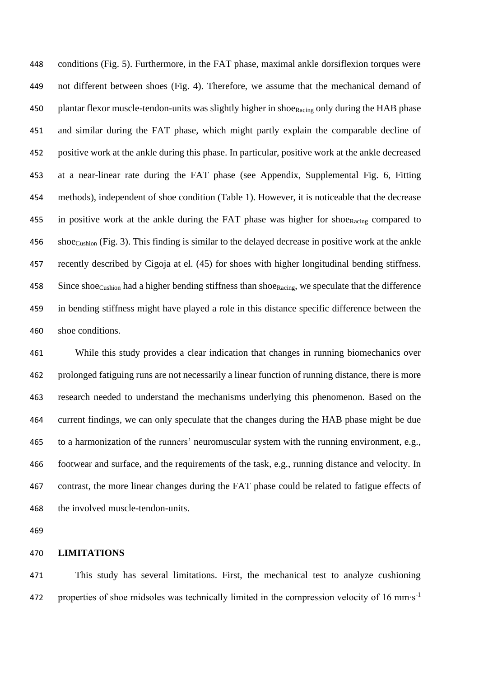conditions (Fig. 5). Furthermore, in the FAT phase, maximal ankle dorsiflexion torques were not different between shoes (Fig. 4). Therefore, we assume that the mechanical demand of 450 plantar flexor muscle-tendon-units was slightly higher in shoe<sub>Racing</sub> only during the HAB phase and similar during the FAT phase, which might partly explain the comparable decline of positive work at the ankle during this phase. In particular, positive work at the ankle decreased at a near-linear rate during the FAT phase (see Appendix, Supplemental Fig. 6, Fitting methods), independent of shoe condition (Table 1). However, it is noticeable that the decrease 455 in positive work at the ankle during the FAT phase was higher for shoe<sub>Racing</sub> compared to 456 shoe<sub>Cushion</sub> (Fig. 3). This finding is similar to the delayed decrease in positive work at the ankle recently described by Cigoja at el. (45) for shoes with higher longitudinal bending stiffness. 458 Since shoe<sub>Cushion</sub> had a higher bending stiffness than shoe<sub>Racing</sub>, we speculate that the difference in bending stiffness might have played a role in this distance specific difference between the shoe conditions.

 While this study provides a clear indication that changes in running biomechanics over prolonged fatiguing runs are not necessarily a linear function of running distance, there is more research needed to understand the mechanisms underlying this phenomenon. Based on the current findings, we can only speculate that the changes during the HAB phase might be due to a harmonization of the runners' neuromuscular system with the running environment, e.g., footwear and surface, and the requirements of the task, e.g., running distance and velocity. In contrast, the more linear changes during the FAT phase could be related to fatigue effects of the involved muscle-tendon-units.

# **LIMITATIONS**

 This study has several limitations. First, the mechanical test to analyze cushioning properties of shoe midsoles was technically limited in the compression velocity of 16 mm⋅s<sup>-1</sup>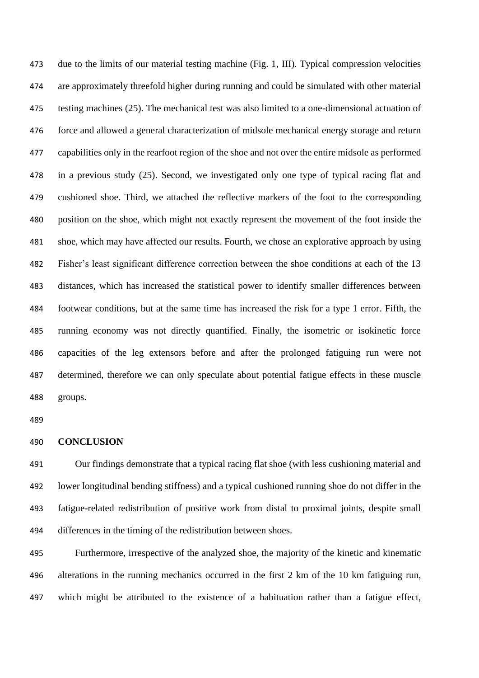due to the limits of our material testing machine (Fig. 1, III). Typical compression velocities are approximately threefold higher during running and could be simulated with other material testing machines (25). The mechanical test was also limited to a one-dimensional actuation of force and allowed a general characterization of midsole mechanical energy storage and return capabilities only in the rearfoot region of the shoe and not over the entire midsole as performed in a previous study (25). Second, we investigated only one type of typical racing flat and cushioned shoe. Third, we attached the reflective markers of the foot to the corresponding position on the shoe, which might not exactly represent the movement of the foot inside the shoe, which may have affected our results. Fourth, we chose an explorative approach by using Fisher's least significant difference correction between the shoe conditions at each of the 13 distances, which has increased the statistical power to identify smaller differences between footwear conditions, but at the same time has increased the risk for a type 1 error. Fifth, the running economy was not directly quantified. Finally, the isometric or isokinetic force capacities of the leg extensors before and after the prolonged fatiguing run were not determined, therefore we can only speculate about potential fatigue effects in these muscle groups.

## **CONCLUSION**

 Our findings demonstrate that a typical racing flat shoe (with less cushioning material and lower longitudinal bending stiffness) and a typical cushioned running shoe do not differ in the fatigue-related redistribution of positive work from distal to proximal joints, despite small differences in the timing of the redistribution between shoes.

 Furthermore, irrespective of the analyzed shoe, the majority of the kinetic and kinematic alterations in the running mechanics occurred in the first 2 km of the 10 km fatiguing run, which might be attributed to the existence of a habituation rather than a fatigue effect,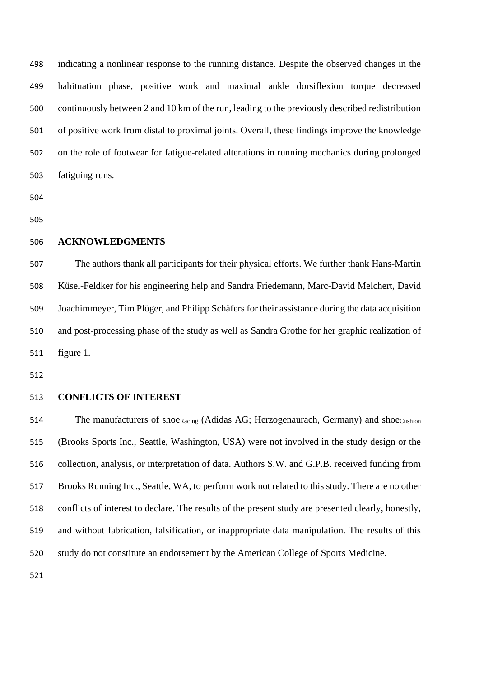indicating a nonlinear response to the running distance. Despite the observed changes in the habituation phase, positive work and maximal ankle dorsiflexion torque decreased continuously between 2 and 10 km of the run, leading to the previously described redistribution of positive work from distal to proximal joints. Overall, these findings improve the knowledge on the role of footwear for fatigue-related alterations in running mechanics during prolonged fatiguing runs.

# **ACKNOWLEDGMENTS**

 The authors thank all participants for their physical efforts. We further thank Hans-Martin Küsel-Feldker for his engineering help and Sandra Friedemann, Marc-David Melchert, David Joachimmeyer, Tim Plöger, and Philipp Schäfers for their assistance during the data acquisition and post-processing phase of the study as well as Sandra Grothe for her graphic realization of figure 1.

## **CONFLICTS OF INTEREST**

514 The manufacturers of shoe<sub>Racing</sub> (Adidas AG; Herzogenaurach, Germany) and shoe<sub>Cushion</sub> (Brooks Sports Inc., Seattle, Washington, USA) were not involved in the study design or the collection, analysis, or interpretation of data. Authors S.W. and G.P.B. received funding from Brooks Running Inc., Seattle, WA, to perform work not related to this study. There are no other conflicts of interest to declare. The results of the present study are presented clearly, honestly, and without fabrication, falsification, or inappropriate data manipulation. The results of this study do not constitute an endorsement by the American College of Sports Medicine.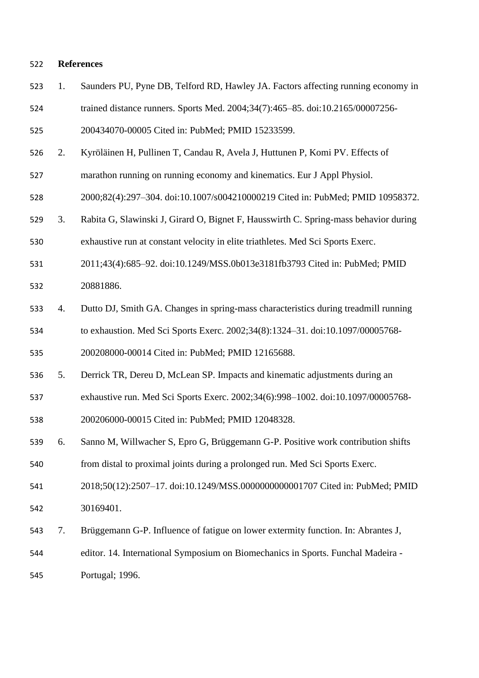## **References**

- 1. Saunders PU, Pyne DB, Telford RD, Hawley JA. Factors affecting running economy in
- trained distance runners. Sports Med. 2004;34(7):465–85. doi:10.2165/00007256-

200434070-00005 Cited in: PubMed; PMID 15233599.

- 2. Kyröläinen H, Pullinen T, Candau R, Avela J, Huttunen P, Komi PV. Effects of
- marathon running on running economy and kinematics. Eur J Appl Physiol.

2000;82(4):297–304. doi:10.1007/s004210000219 Cited in: PubMed; PMID 10958372.

- 3. Rabita G, Slawinski J, Girard O, Bignet F, Hausswirth C. Spring-mass behavior during exhaustive run at constant velocity in elite triathletes. Med Sci Sports Exerc.
- 2011;43(4):685–92. doi:10.1249/MSS.0b013e3181fb3793 Cited in: PubMed; PMID 20881886.
- 4. Dutto DJ, Smith GA. Changes in spring-mass characteristics during treadmill running to exhaustion. Med Sci Sports Exerc. 2002;34(8):1324–31. doi:10.1097/00005768-

200208000-00014 Cited in: PubMed; PMID 12165688.

- 5. Derrick TR, Dereu D, McLean SP. Impacts and kinematic adjustments during an
- exhaustive run. Med Sci Sports Exerc. 2002;34(6):998–1002. doi:10.1097/00005768-

200206000-00015 Cited in: PubMed; PMID 12048328.

 6. Sanno M, Willwacher S, Epro G, Brüggemann G-P. Positive work contribution shifts from distal to proximal joints during a prolonged run. Med Sci Sports Exerc.

- 2018;50(12):2507–17. doi:10.1249/MSS.0000000000001707 Cited in: PubMed; PMID 30169401.
- 7. Brüggemann G-P. Influence of fatigue on lower extermity function. In: Abrantes J,
- editor. 14. International Symposium on Biomechanics in Sports. Funchal Madeira -

Portugal; 1996.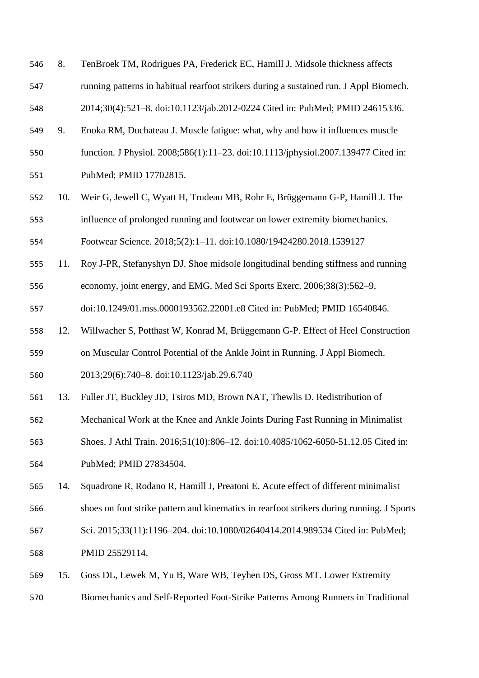8. TenBroek TM, Rodrigues PA, Frederick EC, Hamill J. Midsole thickness affects running patterns in habitual rearfoot strikers during a sustained run. J Appl Biomech. 2014;30(4):521–8. doi:10.1123/jab.2012-0224 Cited in: PubMed; PMID 24615336.

- 9. Enoka RM, Duchateau J. Muscle fatigue: what, why and how it influences muscle
- function. J Physiol. 2008;586(1):11–23. doi:10.1113/jphysiol.2007.139477 Cited in: PubMed; PMID 17702815.
- 10. Weir G, Jewell C, Wyatt H, Trudeau MB, Rohr E, Brüggemann G-P, Hamill J. The influence of prolonged running and footwear on lower extremity biomechanics.

Footwear Science. 2018;5(2):1–11. doi:10.1080/19424280.2018.1539127

- 11. Roy J-PR, Stefanyshyn DJ. Shoe midsole longitudinal bending stiffness and running
- economy, joint energy, and EMG. Med Sci Sports Exerc. 2006;38(3):562–9.

doi:10.1249/01.mss.0000193562.22001.e8 Cited in: PubMed; PMID 16540846.

- 12. Willwacher S, Potthast W, Konrad M, Brüggemann G-P. Effect of Heel Construction
- on Muscular Control Potential of the Ankle Joint in Running. J Appl Biomech.

2013;29(6):740–8. doi:10.1123/jab.29.6.740

- 13. Fuller JT, Buckley JD, Tsiros MD, Brown NAT, Thewlis D. Redistribution of
- Mechanical Work at the Knee and Ankle Joints During Fast Running in Minimalist
- Shoes. J Athl Train. 2016;51(10):806–12. doi:10.4085/1062-6050-51.12.05 Cited in:
- PubMed; PMID 27834504.
- 14. Squadrone R, Rodano R, Hamill J, Preatoni E. Acute effect of different minimalist
- shoes on foot strike pattern and kinematics in rearfoot strikers during running. J Sports
- Sci. 2015;33(11):1196–204. doi:10.1080/02640414.2014.989534 Cited in: PubMed;
- PMID 25529114.
- 15. Goss DL, Lewek M, Yu B, Ware WB, Teyhen DS, Gross MT. Lower Extremity
- Biomechanics and Self-Reported Foot-Strike Patterns Among Runners in Traditional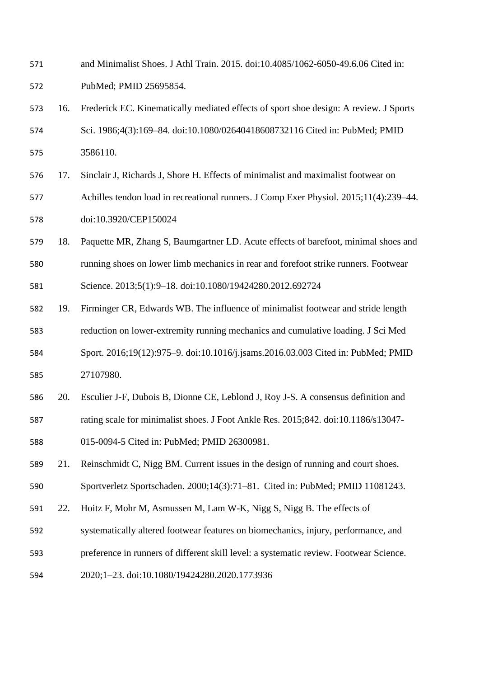- and Minimalist Shoes. J Athl Train. 2015. doi:10.4085/1062-6050-49.6.06 Cited in: PubMed; PMID 25695854.
- 16. Frederick EC. Kinematically mediated effects of sport shoe design: A review. J Sports Sci. 1986;4(3):169–84. doi:10.1080/02640418608732116 Cited in: PubMed; PMID 3586110.
- 17. Sinclair J, Richards J, Shore H. Effects of minimalist and maximalist footwear on Achilles tendon load in recreational runners. J Comp Exer Physiol. 2015;11(4):239–44. doi:10.3920/CEP150024
- 18. Paquette MR, Zhang S, Baumgartner LD. Acute effects of barefoot, minimal shoes and running shoes on lower limb mechanics in rear and forefoot strike runners. Footwear
- Science. 2013;5(1):9–18. doi:10.1080/19424280.2012.692724
- 19. Firminger CR, Edwards WB. The influence of minimalist footwear and stride length reduction on lower-extremity running mechanics and cumulative loading. J Sci Med Sport. 2016;19(12):975–9. doi:10.1016/j.jsams.2016.03.003 Cited in: PubMed; PMID 27107980.
- 20. Esculier J-F, Dubois B, Dionne CE, Leblond J, Roy J-S. A consensus definition and
- rating scale for minimalist shoes. J Foot Ankle Res. 2015;842. doi:10.1186/s13047-
- 015-0094-5 Cited in: PubMed; PMID 26300981.
- 21. Reinschmidt C, Nigg BM. Current issues in the design of running and court shoes.
- Sportverletz Sportschaden. 2000;14(3):71–81. Cited in: PubMed; PMID 11081243.
- 22. Hoitz F, Mohr M, Asmussen M, Lam W-K, Nigg S, Nigg B. The effects of
- systematically altered footwear features on biomechanics, injury, performance, and
- preference in runners of different skill level: a systematic review. Footwear Science.
- 2020;1–23. doi:10.1080/19424280.2020.1773936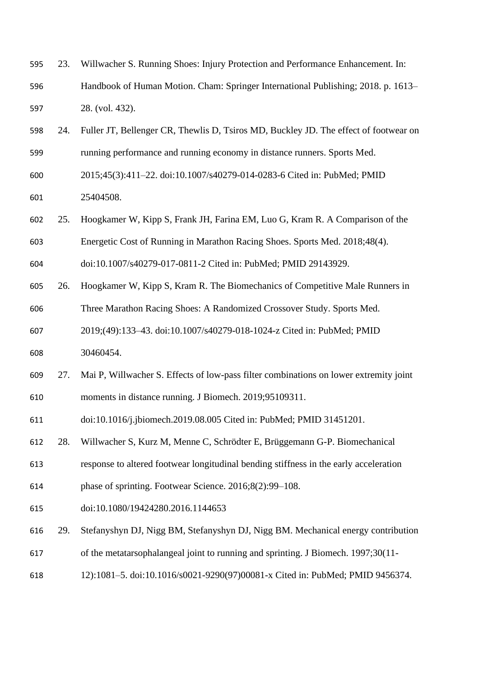- 23. Willwacher S. Running Shoes: Injury Protection and Performance Enhancement. In: Handbook of Human Motion. Cham: Springer International Publishing; 2018. p. 1613– 28. (vol. 432).
- 24. Fuller JT, Bellenger CR, Thewlis D, Tsiros MD, Buckley JD. The effect of footwear on running performance and running economy in distance runners. Sports Med.
- 2015;45(3):411–22. doi:10.1007/s40279-014-0283-6 Cited in: PubMed; PMID 25404508.
- 25. Hoogkamer W, Kipp S, Frank JH, Farina EM, Luo G, Kram R. A Comparison of the
- Energetic Cost of Running in Marathon Racing Shoes. Sports Med. 2018;48(4).
- doi:10.1007/s40279-017-0811-2 Cited in: PubMed; PMID 29143929.
- 26. Hoogkamer W, Kipp S, Kram R. The Biomechanics of Competitive Male Runners in
- Three Marathon Racing Shoes: A Randomized Crossover Study. Sports Med.
- 2019;(49):133–43. doi:10.1007/s40279-018-1024-z Cited in: PubMed; PMID
- 30460454.
- 27. Mai P, Willwacher S. Effects of low-pass filter combinations on lower extremity joint moments in distance running. J Biomech. 2019;95109311.
- doi:10.1016/j.jbiomech.2019.08.005 Cited in: PubMed; PMID 31451201.
- 28. Willwacher S, Kurz M, Menne C, Schrödter E, Brüggemann G-P. Biomechanical
- response to altered footwear longitudinal bending stiffness in the early acceleration
- phase of sprinting. Footwear Science. 2016;8(2):99–108.
- doi:10.1080/19424280.2016.1144653
- 29. Stefanyshyn DJ, Nigg BM, Stefanyshyn DJ, Nigg BM. Mechanical energy contribution
- of the metatarsophalangeal joint to running and sprinting. J Biomech. 1997;30(11-
- 12):1081–5. doi:10.1016/s0021-9290(97)00081-x Cited in: PubMed; PMID 9456374.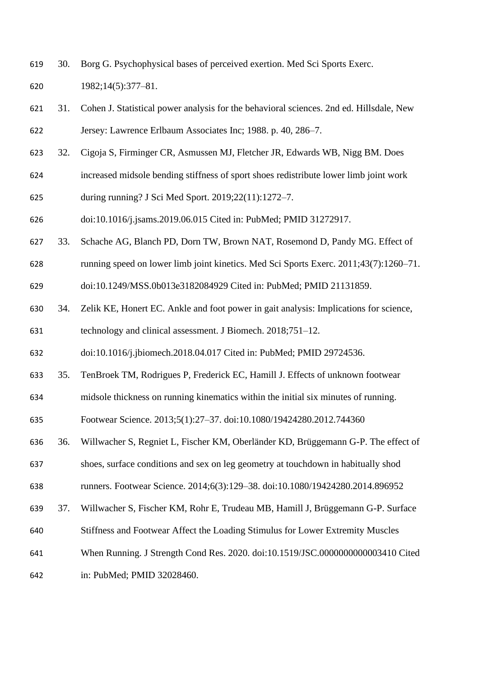30. Borg G. Psychophysical bases of perceived exertion. Med Sci Sports Exerc.

1982;14(5):377–81.

- 31. Cohen J. Statistical power analysis for the behavioral sciences. 2nd ed. Hillsdale, New Jersey: Lawrence Erlbaum Associates Inc; 1988. p. 40, 286–7.
- 32. Cigoja S, Firminger CR, Asmussen MJ, Fletcher JR, Edwards WB, Nigg BM. Does
- increased midsole bending stiffness of sport shoes redistribute lower limb joint work
- during running? J Sci Med Sport. 2019;22(11):1272–7.
- doi:10.1016/j.jsams.2019.06.015 Cited in: PubMed; PMID 31272917.
- 33. Schache AG, Blanch PD, Dorn TW, Brown NAT, Rosemond D, Pandy MG. Effect of
- running speed on lower limb joint kinetics. Med Sci Sports Exerc. 2011;43(7):1260–71.

doi:10.1249/MSS.0b013e3182084929 Cited in: PubMed; PMID 21131859.

 34. Zelik KE, Honert EC. Ankle and foot power in gait analysis: Implications for science, technology and clinical assessment. J Biomech. 2018;751–12.

doi:10.1016/j.jbiomech.2018.04.017 Cited in: PubMed; PMID 29724536.

- 35. TenBroek TM, Rodrigues P, Frederick EC, Hamill J. Effects of unknown footwear
- midsole thickness on running kinematics within the initial six minutes of running.

Footwear Science. 2013;5(1):27–37. doi:10.1080/19424280.2012.744360

- 36. Willwacher S, Regniet L, Fischer KM, Oberländer KD, Brüggemann G-P. The effect of
- shoes, surface conditions and sex on leg geometry at touchdown in habitually shod

runners. Footwear Science. 2014;6(3):129–38. doi:10.1080/19424280.2014.896952

- 37. Willwacher S, Fischer KM, Rohr E, Trudeau MB, Hamill J, Brüggemann G-P. Surface
- Stiffness and Footwear Affect the Loading Stimulus for Lower Extremity Muscles
- When Running. J Strength Cond Res. 2020. doi:10.1519/JSC.0000000000003410 Cited

in: PubMed; PMID 32028460.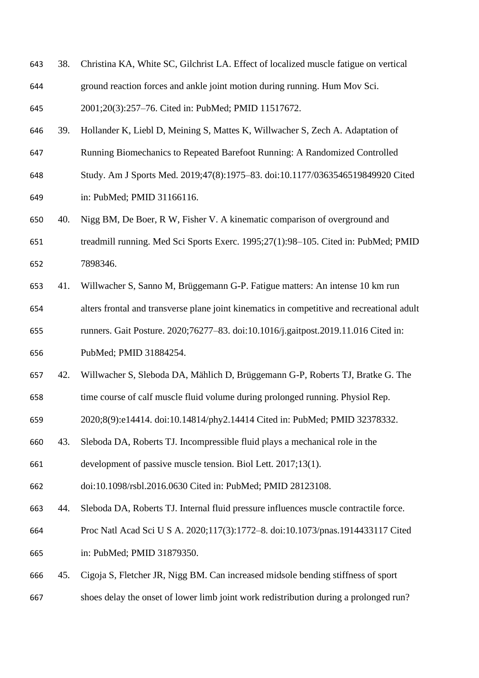| 643 | 38. Christina KA, White SC, Gilchrist LA. Effect of localized muscle fatigue on vertical |
|-----|------------------------------------------------------------------------------------------|
| 644 | ground reaction forces and ankle joint motion during running. Hum Mov Sci.               |

2001;20(3):257–76. Cited in: PubMed; PMID 11517672.

- 39. Hollander K, Liebl D, Meining S, Mattes K, Willwacher S, Zech A. Adaptation of
- Running Biomechanics to Repeated Barefoot Running: A Randomized Controlled
- Study. Am J Sports Med. 2019;47(8):1975–83. doi:10.1177/0363546519849920 Cited
- in: PubMed; PMID 31166116.
- 40. Nigg BM, De Boer, R W, Fisher V. A kinematic comparison of overground and
- treadmill running. Med Sci Sports Exerc. 1995;27(1):98–105. Cited in: PubMed; PMID 7898346.
- 41. Willwacher S, Sanno M, Brüggemann G-P. Fatigue matters: An intense 10 km run
- alters frontal and transverse plane joint kinematics in competitive and recreational adult
- runners. Gait Posture. 2020;76277–83. doi:10.1016/j.gaitpost.2019.11.016 Cited in:
- PubMed; PMID 31884254.
- 42. Willwacher S, Sleboda DA, Mählich D, Brüggemann G-P, Roberts TJ, Bratke G. The
- time course of calf muscle fluid volume during prolonged running. Physiol Rep.
- 2020;8(9):e14414. doi:10.14814/phy2.14414 Cited in: PubMed; PMID 32378332.
- 43. Sleboda DA, Roberts TJ. Incompressible fluid plays a mechanical role in the
- development of passive muscle tension. Biol Lett. 2017;13(1).
- doi:10.1098/rsbl.2016.0630 Cited in: PubMed; PMID 28123108.
- 44. Sleboda DA, Roberts TJ. Internal fluid pressure influences muscle contractile force.
- Proc Natl Acad Sci U S A. 2020;117(3):1772–8. doi:10.1073/pnas.1914433117 Cited
- in: PubMed; PMID 31879350.
- 45. Cigoja S, Fletcher JR, Nigg BM. Can increased midsole bending stiffness of sport
- shoes delay the onset of lower limb joint work redistribution during a prolonged run?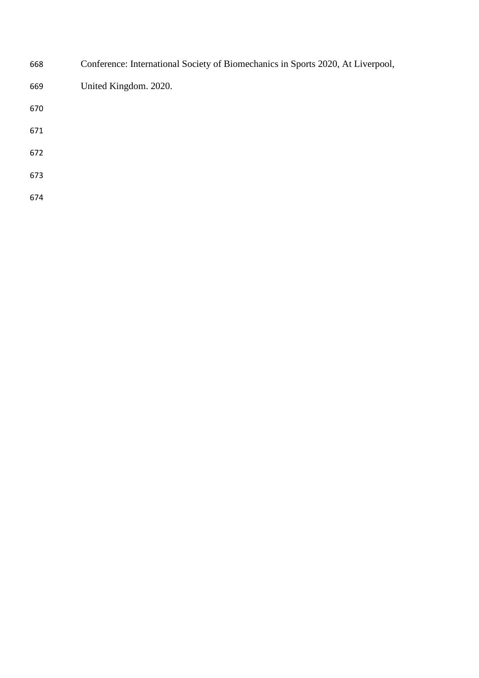| 668 | Conference: International Society of Biomechanics in Sports 2020, At Liverpool, |
|-----|---------------------------------------------------------------------------------|
| 669 | United Kingdom. 2020.                                                           |
| 670 |                                                                                 |
| 671 |                                                                                 |
| 672 |                                                                                 |
| 673 |                                                                                 |
| 674 |                                                                                 |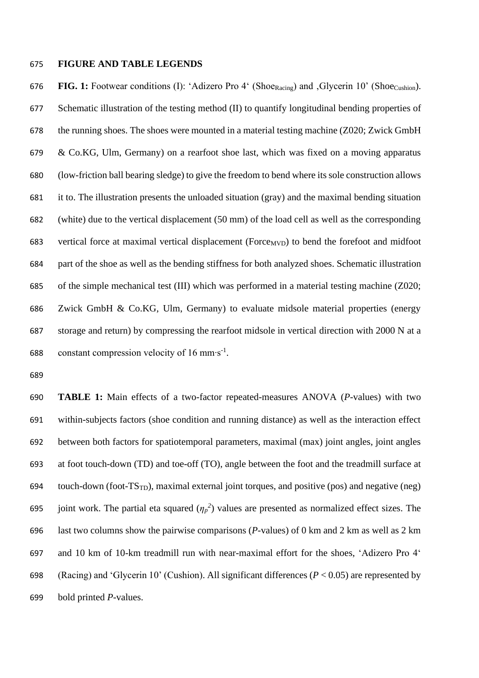## **FIGURE AND TABLE LEGENDS**

**FIG.** 1: Footwear conditions (I): 'Adizero Pro 4' (ShoeRacing) and Glycerin 10' (ShoeCushion). Schematic illustration of the testing method (II) to quantify longitudinal bending properties of the running shoes. The shoes were mounted in a material testing machine (Z020; Zwick GmbH & Co.KG, Ulm, Germany) on a rearfoot shoe last, which was fixed on a moving apparatus (low-friction ball bearing sledge) to give the freedom to bend where its sole construction allows it to. The illustration presents the unloaded situation (gray) and the maximal bending situation (white) due to the vertical displacement (50 mm) of the load cell as well as the corresponding 683 vertical force at maximal vertical displacement ( $\text{Force}_{MVD}$ ) to bend the forefoot and midfoot part of the shoe as well as the bending stiffness for both analyzed shoes. Schematic illustration of the simple mechanical test (III) which was performed in a material testing machine (Z020; Zwick GmbH & Co.KG, Ulm, Germany) to evaluate midsole material properties (energy storage and return) by compressing the rearfoot midsole in vertical direction with 2000 N at a 688 constant compression velocity of  $16 \text{ mm} \cdot \text{s}^{-1}$ .

 **TABLE 1:** Main effects of a two-factor repeated-measures ANOVA (*P*-values) with two within-subjects factors (shoe condition and running distance) as well as the interaction effect between both factors for spatiotemporal parameters, maximal (max) joint angles, joint angles at foot touch-down (TD) and toe-off (TO), angle between the foot and the treadmill surface at 694 touch-down (foot- $TS_{TD}$ ), maximal external joint torques, and positive (pos) and negative (neg) 695 joint work. The partial eta squared  $(\eta_p^2)$  values are presented as normalized effect sizes. The last two columns show the pairwise comparisons (*P*-values) of 0 km and 2 km as well as 2 km and 10 km of 10-km treadmill run with near-maximal effort for the shoes, 'Adizero Pro 4' (Racing) and 'Glycerin 10' (Cushion). All significant differences (*P* < 0.05) are represented by bold printed *P*-values.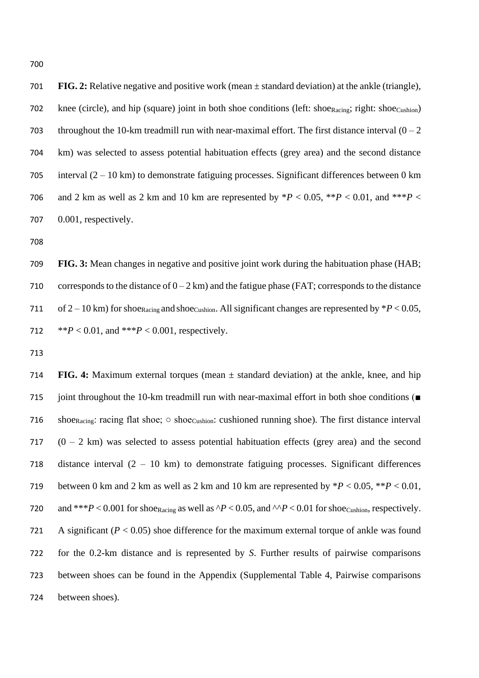700

701 **FIG. 2:** Relative negative and positive work (mean ± standard deviation) at the ankle (triangle), 702 knee (circle), and hip (square) joint in both shoe conditions (left: shoe<sub>Racing</sub>; right: shoe<sub>Cushion</sub>) 703 throughout the 10-km treadmill run with near-maximal effort. The first distance interval  $(0 - 2)$ 704 km) was selected to assess potential habituation effects (grey area) and the second distance 705 interval  $(2 - 10 \text{ km})$  to demonstrate fatiguing processes. Significant differences between 0 km 706 and 2 km as well as 2 km and 10 km are represented by  $*P < 0.05$ ,  $*P < 0.01$ , and  $**P <$ 707 0.001, respectively.

708

709 **FIG. 3:** Mean changes in negative and positive joint work during the habituation phase (HAB; 710 corresponds to the distance of  $0 - 2$  km) and the fatigue phase (FAT; corresponds to the distance 711 of  $2 - 10$  km) for shoe<sub>Racing</sub> and shoe<sub>Cushion</sub>. All significant changes are represented by  $*P < 0.05$ , 712 \*\**P* < 0.01, and \*\*\**P* < 0.001, respectively.

713

714 **FIG. 4:** Maximum external torques (mean ± standard deviation) at the ankle, knee, and hip 715 joint throughout the 10-km treadmill run with near-maximal effort in both shoe conditions ( $\blacksquare$ 716 shoe<sub>Racing</sub>: racing flat shoe; ○ shoe<sub>Cushion</sub>: cushioned running shoe). The first distance interval 717  $(0 - 2)$  km was selected to assess potential habituation effects (grey area) and the second 718 distance interval (2 – 10 km) to demonstrate fatiguing processes. Significant differences 719 between 0 km and 2 km as well as 2 km and 10 km are represented by  $*P < 0.05$ ,  $**P < 0.01$ , 720 and \*\*\**P* < 0.001 for shoe<sub>Racing</sub> as well as  $^{1}P$  < 0.05, and  $^{1}P$  < 0.01 for shoe<sub>Cushion</sub>, respectively. 721 A significant  $(P < 0.05)$  shoe difference for the maximum external torque of ankle was found 722 for the 0.2-km distance and is represented by *S*. Further results of pairwise comparisons 723 between shoes can be found in the Appendix (Supplemental Table 4, Pairwise comparisons 724 between shoes).